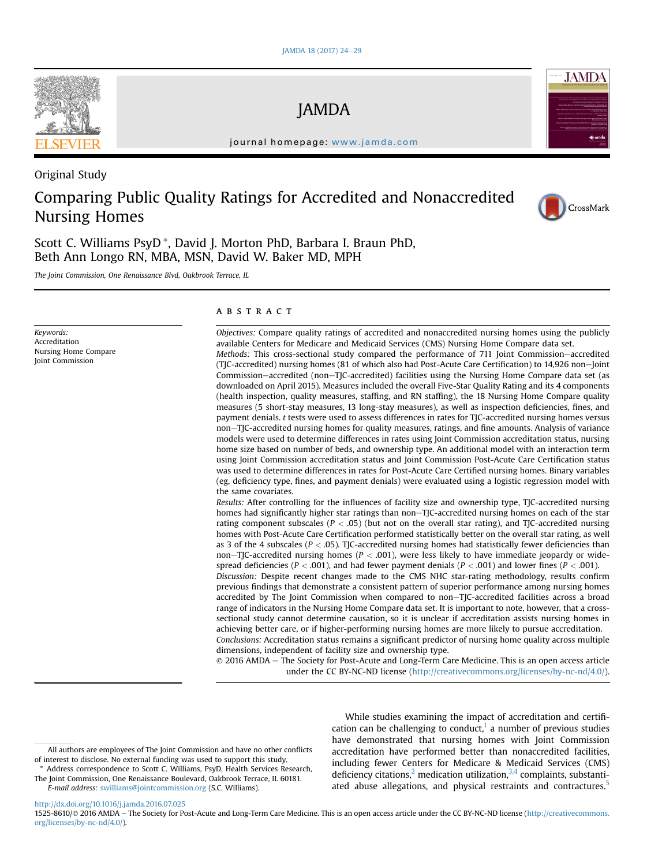## JAMDA

journal homepage: [www.jamda.com](http://www.jamda.com)

## Original Study

# Comparing Public Quality Ratings for Accredited and Nonaccredited Nursing Homes



**JAMDA** 

Scott C. Williams PsyD \*, David J. Morton PhD, Barbara I. Braun PhD, Beth Ann Longo RN, MBA, MSN, David W. Baker MD, MPH

The Joint Commission, One Renaissance Blvd, Oakbrook Terrace, IL

Keywords: Accreditation Nursing Home Compare Joint Commission

#### ABSTRACT

Objectives: Compare quality ratings of accredited and nonaccredited nursing homes using the publicly available Centers for Medicare and Medicaid Services (CMS) Nursing Home Compare data set. Methods: This cross-sectional study compared the performance of 711 Joint Commission-accredited (TJC-accredited) nursing homes (81 of which also had Post-Acute Care Certification) to 14,926 non-Joint Commission–accredited (non–TJC-accredited) facilities using the Nursing Home Compare data set (as downloaded on April 2015). Measures included the overall Five-Star Quality Rating and its 4 components (health inspection, quality measures, staffing, and RN staffing), the 18 Nursing Home Compare quality measures (5 short-stay measures, 13 long-stay measures), as well as inspection deficiencies, fines, and payment denials. t tests were used to assess differences in rates for TJC-accredited nursing homes versus noneTJC-accredited nursing homes for quality measures, ratings, and fine amounts. Analysis of variance models were used to determine differences in rates using Joint Commission accreditation status, nursing home size based on number of beds, and ownership type. An additional model with an interaction term using Joint Commission accreditation status and Joint Commission Post-Acute Care Certification status was used to determine differences in rates for Post-Acute Care Certified nursing homes. Binary variables (eg, deficiency type, fines, and payment denials) were evaluated using a logistic regression model with the same covariates.

Results: After controlling for the influences of facility size and ownership type, TJC-accredited nursing homes had significantly higher star ratings than non-TJC-accredited nursing homes on each of the star rating component subscales ( $P < .05$ ) (but not on the overall star rating), and TJC-accredited nursing homes with Post-Acute Care Certification performed statistically better on the overall star rating, as well as 3 of the 4 subscales ( $P <$  .05). TJC-accredited nursing homes had statistically fewer deficiencies than non-TJC-accredited nursing homes ( $P < .001$ ), were less likely to have immediate jeopardy or widespread deficiencies ( $P < .001$ ), and had fewer payment denials ( $P < .001$ ) and lower fines ( $P < .001$ ). Discussion: Despite recent changes made to the CMS NHC star-rating methodology, results confirm previous findings that demonstrate a consistent pattern of superior performance among nursing homes accredited by The Joint Commission when compared to non-TJC-accredited facilities across a broad range of indicators in the Nursing Home Compare data set. It is important to note, however, that a crosssectional study cannot determine causation, so it is unclear if accreditation assists nursing homes in achieving better care, or if higher-performing nursing homes are more likely to pursue accreditation. Conclusions: Accreditation status remains a significant predictor of nursing home quality across multiple dimensions, independent of facility size and ownership type.

 $© 2016 AMDA - The Society for Post-Acute and Long-Term Care Medicine. This is an open access article$ under the CC BY-NC-ND license ([http://creativecommons.org/licenses/by-nc-nd/4.0/\)](http://creativecommons.org/licenses/by-nc-nd/4.0/).

While studies examining the impact of accreditation and certification can be challenging to conduct, $<sup>1</sup>$  $<sup>1</sup>$  $<sup>1</sup>$  a number of previous studies</sup> have demonstrated that nursing homes with Joint Commission accreditation have performed better than nonaccredited facilities, including fewer Centers for Medicare & Medicaid Services (CMS) deficiency citations,<sup>2</sup> medication utilization, $3,4$  complaints, substanti-ated abuse allegations, and physical restraints and contractures.<sup>[5](#page-5-0)</sup>

<http://dx.doi.org/10.1016/j.jamda.2016.07.025>



All authors are employees of The Joint Commission and have no other conflicts of interest to disclose. No external funding was used to support this study.

Address correspondence to Scott C. Williams, PsyD, Health Services Research, The Joint Commission, One Renaissance Boulevard, Oakbrook Terrace, IL 60181. E-mail address: [swilliams@jointcommission.org](mailto:swilliams@jointcommission.org) (S.C. Williams).

<sup>1525-8610/© 2016</sup> AMDA - The Society for Post-Acute and Long-Term Care Medicine. This is an open access article under the CC BY-NC-ND license ([http://creativecommons.](http://creativecommons.org/licenses/by-nc-nd/4.0/) [org/licenses/by-nc-nd/4.0/\)](http://creativecommons.org/licenses/by-nc-nd/4.0/).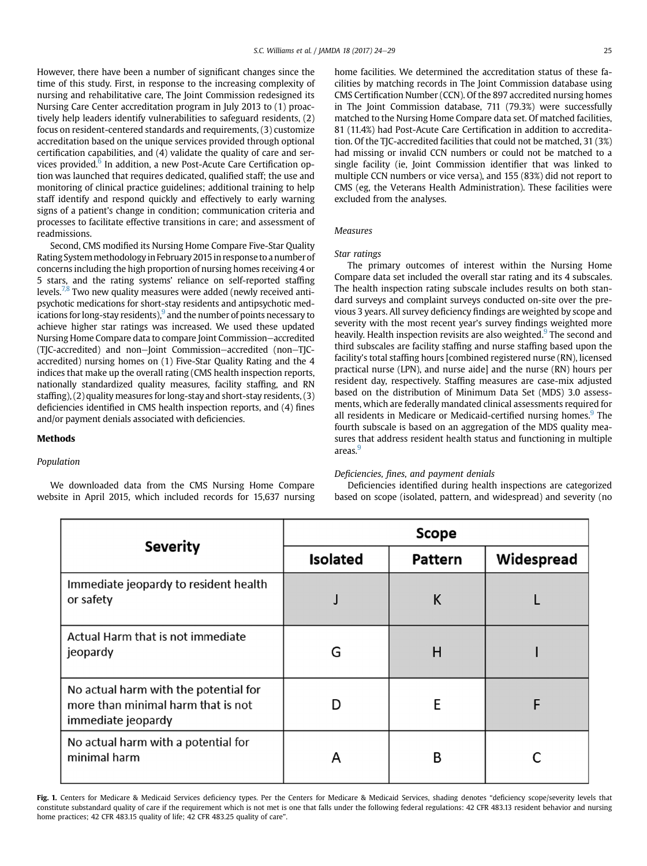<span id="page-1-0"></span>However, there have been a number of significant changes since the time of this study. First, in response to the increasing complexity of nursing and rehabilitative care, The Joint Commission redesigned its Nursing Care Center accreditation program in July 2013 to (1) proactively help leaders identify vulnerabilities to safeguard residents, (2) focus on resident-centered standards and requirements, (3) customize accreditation based on the unique services provided through optional certification capabilities, and (4) validate the quality of care and services provided.<sup>6</sup> In addition, a new Post-Acute Care Certification option was launched that requires dedicated, qualified staff; the use and monitoring of clinical practice guidelines; additional training to help staff identify and respond quickly and effectively to early warning signs of a patient's change in condition; communication criteria and processes to facilitate effective transitions in care; and assessment of readmissions.

Second, CMS modified its Nursing Home Compare Five-Star Quality Rating Systemmethodologyin February 2015 in response to a number of concerns including the high proportion of nursing homes receiving 4 or 5 stars, and the rating systems' reliance on self-reported staffing levels.<sup>[7,8](#page-5-0)</sup> Two new quality measures were added (newly received antipsychotic medications for short-stay residents and antipsychotic medications for long-stay residents), $9$  and the number of points necessary to achieve higher star ratings was increased. We used these updated Nursing Home Compare data to compare Joint Commission-accredited (TJC-accredited) and non-Joint Commission-accredited (non-TJCaccredited) nursing homes on (1) Five-Star Quality Rating and the 4 indices that make up the overall rating (CMS health inspection reports, nationally standardized quality measures, facility staffing, and RN staffing), (2) quality measures for long-stay and short-stay residents, (3) deficiencies identified in CMS health inspection reports, and (4) fines and/or payment denials associated with deficiencies.

### Methods

## Population

We downloaded data from the CMS Nursing Home Compare website in April 2015, which included records for 15,637 nursing home facilities. We determined the accreditation status of these facilities by matching records in The Joint Commission database using CMS Certification Number (CCN). Of the 897 accredited nursing homes in The Joint Commission database, 711 (79.3%) were successfully matched to the Nursing Home Compare data set. Of matched facilities, 81 (11.4%) had Post-Acute Care Certification in addition to accreditation. Of the TJC-accredited facilities that could not be matched, 31 (3%) had missing or invalid CCN numbers or could not be matched to a single facility (ie, Joint Commission identifier that was linked to multiple CCN numbers or vice versa), and 155 (83%) did not report to CMS (eg, the Veterans Health Administration). These facilities were excluded from the analyses.

## Measures

## Star ratings

The primary outcomes of interest within the Nursing Home Compare data set included the overall star rating and its 4 subscales. The health inspection rating subscale includes results on both standard surveys and complaint surveys conducted on-site over the previous 3 years. All survey deficiency findings are weighted by scope and severity with the most recent year's survey findings weighted more heavily. Health inspection revisits are also weighted.<sup>[9](#page-5-0)</sup> The second and third subscales are facility staffing and nurse staffing based upon the facility's total staffing hours [combined registered nurse (RN), licensed practical nurse (LPN), and nurse aide] and the nurse (RN) hours per resident day, respectively. Staffing measures are case-mix adjusted based on the distribution of Minimum Data Set (MDS) 3.0 assessments, which are federally mandated clinical assessments required for all residents in Medicare or Medicaid-certified nursing homes.<sup>[9](#page-5-0)</sup> The fourth subscale is based on an aggregation of the MDS quality measures that address resident health status and functioning in multiple areas.<sup>9</sup>

### Deficiencies, fines, and payment denials

Deficiencies identified during health inspections are categorized based on scope (isolated, pattern, and widespread) and severity (no

|                                                                                                   | Scope           |                |            |  |  |  |
|---------------------------------------------------------------------------------------------------|-----------------|----------------|------------|--|--|--|
| <b>Severity</b>                                                                                   | <b>Isolated</b> | <b>Pattern</b> | Widespread |  |  |  |
| Immediate jeopardy to resident health<br>or safety                                                |                 | Κ              |            |  |  |  |
| Actual Harm that is not immediate<br>jeopardy                                                     | G               | Н              |            |  |  |  |
| No actual harm with the potential for<br>more than minimal harm that is not<br>immediate jeopardy |                 | E              | F          |  |  |  |
| No actual harm with a potential for<br>minimal harm                                               | A               | B              |            |  |  |  |

Fig. 1. Centers for Medicare & Medicaid Services deficiency types. Per the Centers for Medicare & Medicaid Services, shading denotes "deficiency scope/severity levels that constitute substandard quality of care if the requirement which is not met is one that falls under the following federal regulations: 42 CFR 483.13 resident behavior and nursing home practices; 42 CFR 483.15 quality of life; 42 CFR 483.25 quality of care".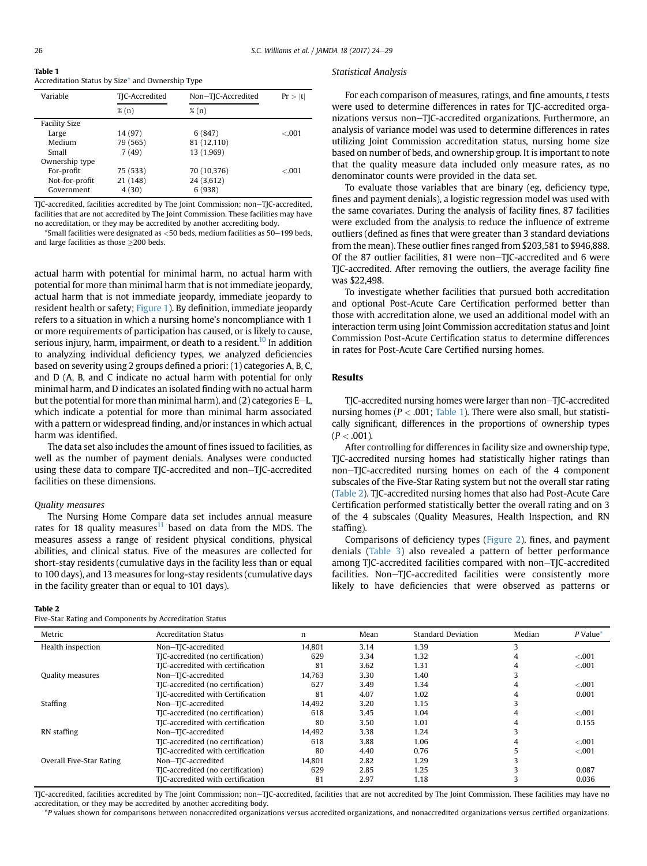| Table 1                                          |  |
|--------------------------------------------------|--|
| Accreditation Status by Size* and Ownership Type |  |

| Variable             | TJC-Accredited | Non-TJC-Accredited | Pr >  t |
|----------------------|----------------|--------------------|---------|
|                      | $\%$ (n)       | $\%$ (n)           |         |
| <b>Facility Size</b> |                |                    |         |
| Large                | 14 (97)        | 6(847)             | < 0.001 |
| Medium               | 79 (565)       | 81 (12,110)        |         |
| Small                | 7(49)          | 13 (1,969)         |         |
| Ownership type       |                |                    |         |
| For-profit           | 75 (533)       | 70 (10,376)        | < 0.01  |
| Not-for-profit       | 21 (148)       | 24 (3,612)         |         |
| Government           | 4(30)          | 6(938)             |         |

TJC-accredited, facilities accredited by The Joint Commission; non-TJC-accredited, facilities that are not accredited by The Joint Commission. These facilities may have no accreditation, or they may be accredited by another accrediting body.

 $*$ Small facilities were designated as <50 beds, medium facilities as 50-199 beds, and large facilities as those  $\geq$ 200 beds.

actual harm with potential for minimal harm, no actual harm with potential for more than minimal harm that is not immediate jeopardy, actual harm that is not immediate jeopardy, immediate jeopardy to resident health or safety; [Figure 1\)](#page-1-0). By definition, immediate jeopardy refers to a situation in which a nursing home's noncompliance with 1 or more requirements of participation has caused, or is likely to cause, serious injury, harm, impairment, or death to a resident.<sup>10</sup> In addition to analyzing individual deficiency types, we analyzed deficiencies based on severity using 2 groups defined a priori: (1) categories A, B, C, and D (A, B, and C indicate no actual harm with potential for only minimal harm, and D indicates an isolated finding with no actual harm but the potential for more than minimal harm), and  $(2)$  categories E-L, which indicate a potential for more than minimal harm associated with a pattern or widespread finding, and/or instances in which actual harm was identified.

The data set also includes the amount of fines issued to facilities, as well as the number of payment denials. Analyses were conducted using these data to compare TJC-accredited and non-TJC-accredited facilities on these dimensions.

#### Quality measures

The Nursing Home Compare data set includes annual measure rates for 18 quality measures $11$  based on data from the MDS. The measures assess a range of resident physical conditions, physical abilities, and clinical status. Five of the measures are collected for short-stay residents (cumulative days in the facility less than or equal to 100 days), and 13 measures for long-stay residents (cumulative days in the facility greater than or equal to 101 days).

#### Table 2

Five-Star Rating and Components by Accreditation Status

## Statistical Analysis

For each comparison of measures, ratings, and fine amounts, t tests were used to determine differences in rates for TJC-accredited organizations versus non–TJC-accredited organizations. Furthermore, an analysis of variance model was used to determine differences in rates utilizing Joint Commission accreditation status, nursing home size based on number of beds, and ownership group. It is important to note that the quality measure data included only measure rates, as no denominator counts were provided in the data set.

To evaluate those variables that are binary (eg, deficiency type, fines and payment denials), a logistic regression model was used with the same covariates. During the analysis of facility fines, 87 facilities were excluded from the analysis to reduce the influence of extreme outliers (defined as fines that were greater than 3 standard deviations from the mean). These outlier fines ranged from \$203,581 to \$946,888. Of the 87 outlier facilities, 81 were non–TIC-accredited and 6 were TJC-accredited. After removing the outliers, the average facility fine was \$22,498.

To investigate whether facilities that pursued both accreditation and optional Post-Acute Care Certification performed better than those with accreditation alone, we used an additional model with an interaction term using Joint Commission accreditation status and Joint Commission Post-Acute Certification status to determine differences in rates for Post-Acute Care Certified nursing homes.

#### Results

TJC-accredited nursing homes were larger than non-TJC-accredited nursing homes ( $P < .001$ ; Table 1). There were also small, but statistically significant, differences in the proportions of ownership types  $(P < .001)$ .

After controlling for differences in facility size and ownership type, TJC-accredited nursing homes had statistically higher ratings than non-TJC-accredited nursing homes on each of the 4 component subscales of the Five-Star Rating system but not the overall star rating (Table 2). TJC-accredited nursing homes that also had Post-Acute Care Certification performed statistically better the overall rating and on 3 of the 4 subscales (Quality Measures, Health Inspection, and RN staffing).

Comparisons of deficiency types [\(Figure 2](#page-3-0)), fines, and payment denials ([Table 3\)](#page-3-0) also revealed a pattern of better performance among TJC-accredited facilities compared with non-TJC-accredited facilities. Non-TJC-accredited facilities were consistently more likely to have deficiencies that were observed as patterns or

| Metric                   | <b>Accreditation Status</b>       | n      | Mean | <b>Standard Deviation</b> | Median | P Value* |
|--------------------------|-----------------------------------|--------|------|---------------------------|--------|----------|
| Health inspection        | Non-TJC-accredited                | 14,801 | 3.14 | 1.39                      | 3      |          |
|                          | TJC-accredited (no certification) | 629    | 3.34 | 1.32                      | 4      | $-.001$  |
|                          | TJC-accredited with certification | 81     | 3.62 | 1.31                      | 4      | < 0.001  |
| Quality measures         | Non-TJC-accredited                | 14.763 | 3.30 | 1.40                      |        |          |
|                          | TJC-accredited (no certification) | 627    | 3.49 | 1.34                      |        | $-.001$  |
|                          | TJC-accredited with Certification | 81     | 4.07 | 1.02                      |        | 0.001    |
| Staffing                 | Non-TJC-accredited                | 14,492 | 3.20 | 1.15                      |        |          |
|                          | TJC-accredited (no certification) | 618    | 3.45 | 1.04                      | 4      | < 0.001  |
|                          | TJC-accredited with certification | 80     | 3.50 | 1.01                      | 4      | 0.155    |
| RN staffing              | Non-TJC-accredited                | 14.492 | 3.38 | 1.24                      |        |          |
|                          | TJC-accredited (no certification) | 618    | 3.88 | 1.06                      |        | $-.001$  |
|                          | TJC-accredited with certification | 80     | 4.40 | 0.76                      |        | < 0.001  |
| Overall Five-Star Rating | Non-TJC-accredited                | 14,801 | 2.82 | 1.29                      |        |          |
|                          | TJC-accredited (no certification) | 629    | 2.85 | 1.25                      |        | 0.087    |
|                          | TJC-accredited with certification | 81     | 2.97 | 1.18                      |        | 0.036    |

TJC-accredited, facilities accredited by The Joint Commission; non-TJC-accredited, facilities that are not accredited by The Joint Commission. These facilities may have no accreditation, or they may be accredited by another accrediting body.

\*P values shown for comparisons between nonaccredited organizations versus accredited organizations, and nonaccredited organizations versus certified organizations.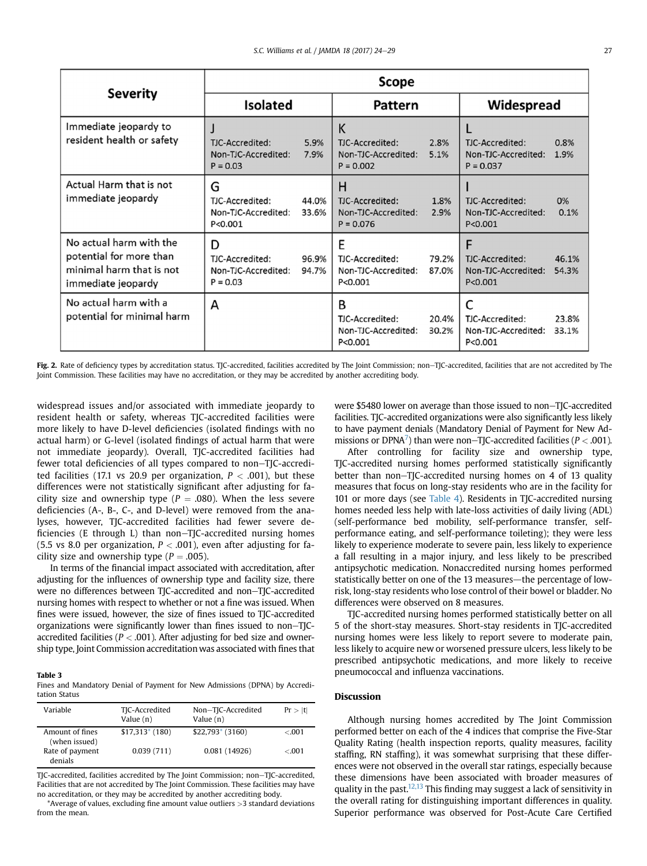<span id="page-3-0"></span>

| <b>Severity</b>                                                                                      | Scope                                                     |                |                                                            |                |                                                          |                |
|------------------------------------------------------------------------------------------------------|-----------------------------------------------------------|----------------|------------------------------------------------------------|----------------|----------------------------------------------------------|----------------|
|                                                                                                      | <b>Isolated</b>                                           |                | Pattern                                                    |                | Widespread                                               |                |
| Immediate jeopardy to<br>resident health or safety                                                   | TJC-Accredited:<br>Non-TJC-Accredited:<br>$P = 0.03$      | 5.9%<br>7.9%   | K<br>TJC-Accredited:<br>Non-TJC-Accredited:<br>$P = 0.002$ | 2.8%<br>5.1%   | TJC-Accredited:<br>Non-TJC-Accredited:<br>$P = 0.037$    | 0.8%<br>1.9%   |
| Actual Harm that is not<br>immediate jeopardy                                                        | G<br>TJC-Accredited:<br>Non-TJC-Accredited:<br>P < 0.001  | 44.0%<br>33.6% | н<br>TJC-Accredited:<br>Non-TJC-Accredited:<br>$P = 0.076$ | 1.8%<br>2.9%   | TJC-Accredited:<br>Non-TJC-Accredited:<br>P < 0.001      | 0%<br>0.1%     |
| No actual harm with the<br>potential for more than<br>minimal harm that is not<br>immediate jeopardy | D<br>TJC-Accredited:<br>Non-TJC-Accredited:<br>$P = 0.03$ | 96.9%<br>94.7% | E<br>TJC-Accredited:<br>Non-TJC-Accredited:<br>P<0.001     | 79.2%<br>87.0% | F<br>TJC-Accredited:<br>Non-TJC-Accredited:<br>P < 0.001 | 46.1%<br>54.3% |
| No actual harm with a<br>potential for minimal harm                                                  | А                                                         |                | B<br>TJC-Accredited:<br>Non-TJC-Accredited:<br>P<0.001     | 20.4%<br>30.2% | C<br>TJC-Accredited:<br>Non-TJC-Accredited:<br>P < 0.001 | 23.8%<br>33.1% |

Fig. 2. Rate of deficiency types by accreditation status. TJC-accredited, facilities accredited by The Joint Commission; non-TJC-accredited, facilities that are not accredited by The Joint Commission. These facilities may have no accreditation, or they may be accredited by another accrediting body.

widespread issues and/or associated with immediate jeopardy to resident health or safety, whereas TJC-accredited facilities were more likely to have D-level deficiencies (isolated findings with no actual harm) or G-level (isolated findings of actual harm that were not immediate jeopardy). Overall, TJC-accredited facilities had fewer total deficiencies of all types compared to non-TJC-accredited facilities (17.1 vs 20.9 per organization,  $P < .001$ ), but these differences were not statistically significant after adjusting for facility size and ownership type ( $P = .080$ ). When the less severe deficiencies (A-, B-, C-, and D-level) were removed from the analyses, however, TJC-accredited facilities had fewer severe deficiencies (E through L) than non-TJC-accredited nursing homes (5.5 vs 8.0 per organization,  $P < .001$ ), even after adjusting for facility size and ownership type ( $P = .005$ ).

In terms of the financial impact associated with accreditation, after adjusting for the influences of ownership type and facility size, there were no differences between TJC-accredited and non-TJC-accredited nursing homes with respect to whether or not a fine was issued. When fines were issued, however, the size of fines issued to TJC-accredited organizations were significantly lower than fines issued to non-TJCaccredited facilities ( $P < .001$ ). After adjusting for bed size and ownership type, Joint Commission accreditation was associated with fines that

#### Table 3

Fines and Mandatory Denial of Payment for New Admissions (DPNA) by Accreditation Status

| Variable                         | TJC-Accredited<br>Value $(n)$ | Non-TJC-Accredited<br>Value $(n)$ | Pr >  t |
|----------------------------------|-------------------------------|-----------------------------------|---------|
| Amount of fines<br>(when issued) | $$17,313*(180)$               | $$22,793*(3160)$                  | $-.001$ |
| Rate of payment<br>denials       | 0.039(711)                    | 0.081(14926)                      | < 0.001 |

TJC-accredited, facilities accredited by The Joint Commission; non-TJC-accredited, Facilities that are not accredited by The Joint Commission. These facilities may have no accreditation, or they may be accredited by another accrediting body.

\*Average of values, excluding fine amount value outliers >3 standard deviations from the mean.

were \$5480 lower on average than those issued to non-TJC-accredited facilities. TJC-accredited organizations were also significantly less likely to have payment denials (Mandatory Denial of Payment for New Admissions or DPNA<sup>7</sup>) than were non–TJC-accredited facilities ( $P < .001$ ).

After controlling for facility size and ownership type, TJC-accredited nursing homes performed statistically significantly better than non-TJC-accredited nursing homes on 4 of 13 quality measures that focus on long-stay residents who are in the facility for 101 or more days (see [Table 4](#page-4-0)). Residents in TJC-accredited nursing homes needed less help with late-loss activities of daily living (ADL) (self-performance bed mobility, self-performance transfer, selfperformance eating, and self-performance toileting); they were less likely to experience moderate to severe pain, less likely to experience a fall resulting in a major injury, and less likely to be prescribed antipsychotic medication. Nonaccredited nursing homes performed statistically better on one of the 13 measures—the percentage of lowrisk, long-stay residents who lose control of their bowel or bladder. No differences were observed on 8 measures.

TJC-accredited nursing homes performed statistically better on all 5 of the short-stay measures. Short-stay residents in TJC-accredited nursing homes were less likely to report severe to moderate pain, less likely to acquire new or worsened pressure ulcers, less likely to be prescribed antipsychotic medications, and more likely to receive pneumococcal and influenza vaccinations.

#### Discussion

Although nursing homes accredited by The Joint Commission performed better on each of the 4 indices that comprise the Five-Star Quality Rating (health inspection reports, quality measures, facility staffing, RN staffing), it was somewhat surprising that these differences were not observed in the overall star ratings, especially because these dimensions have been associated with broader measures of quality in the past.<sup>12,13</sup> This finding may suggest a lack of sensitivity in the overall rating for distinguishing important differences in quality. Superior performance was observed for Post-Acute Care Certified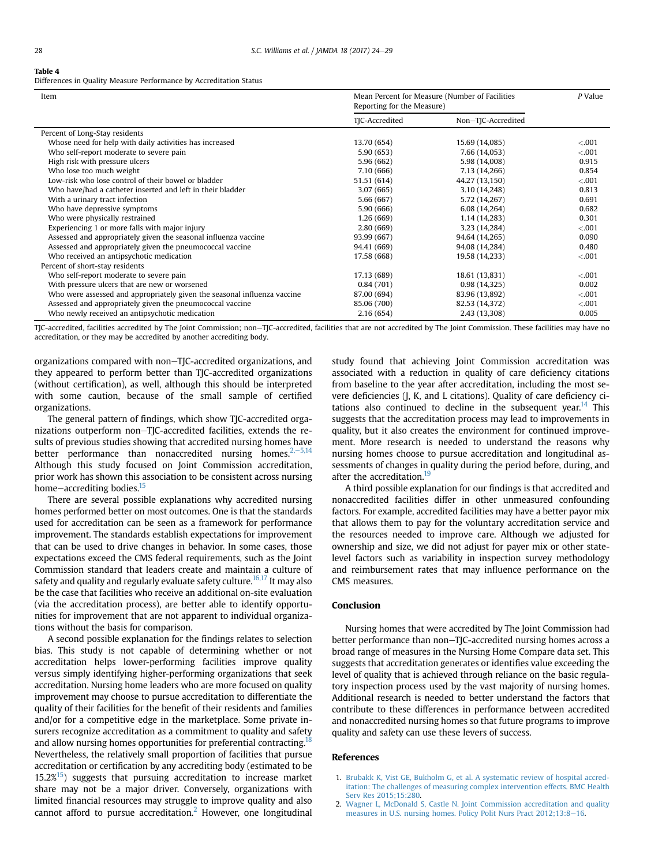#### <span id="page-4-0"></span>Table 4

Differences in Quality Measure Performance by Accreditation Status

| Mean Percent for Measure (Number of Facilities<br>Item<br>Reporting for the Measure) |                | P Value            |         |
|--------------------------------------------------------------------------------------|----------------|--------------------|---------|
|                                                                                      | TJC-Accredited | Non-TJC-Accredited |         |
| Percent of Long-Stay residents                                                       |                |                    |         |
| Whose need for help with daily activities has increased                              | 13.70 (654)    | 15.69 (14,085)     | < 0.001 |
| Who self-report moderate to severe pain                                              | 5.90(653)      | 7.66 (14,053)      | < 0.001 |
| High risk with pressure ulcers                                                       | 5.96(662)      | 5.98 (14,008)      | 0.915   |
| Who lose too much weight                                                             | 7.10(666)      | 7.13 (14,266)      | 0.854   |
| Low-risk who lose control of their bowel or bladder                                  | 51.51 (614)    | 44.27 (13,150)     | < 0.001 |
| Who have/had a catheter inserted and left in their bladder                           | 3.07(665)      | 3.10 (14,248)      | 0.813   |
| With a urinary tract infection                                                       | 5.66 (667)     | 5.72 (14,267)      | 0.691   |
| Who have depressive symptoms                                                         | 5.90 (666)     | 6.08 (14,264)      | 0.682   |
| Who were physically restrained                                                       | 1.26(669)      | 1.14 (14,283)      | 0.301   |
| Experiencing 1 or more falls with major injury                                       | 2.80(669)      | 3.23 (14,284)      | < 0.001 |
| Assessed and appropriately given the seasonal influenza vaccine                      | 93.99 (667)    | 94.64 (14,265)     | 0.090   |
| Assessed and appropriately given the pneumococcal vaccine                            | 94.41 (669)    | 94.08 (14,284)     | 0.480   |
| Who received an antipsychotic medication                                             | 17.58 (668)    | 19.58 (14,233)     | < 0.001 |
| Percent of short-stay residents                                                      |                |                    |         |
| Who self-report moderate to severe pain                                              | 17.13 (689)    | 18.61 (13,831)     | < 0.001 |
| With pressure ulcers that are new or worsened                                        | 0.84(701)      | 0.98(14,325)       | 0.002   |
| Who were assessed and appropriately given the seasonal influenza vaccine             | 87.00 (694)    | 83.96 (13,892)     | < 0.001 |
| Assessed and appropriately given the pneumococcal vaccine                            | 85.06 (700)    | 82.53 (14,372)     | < .001  |
| Who newly received an antipsychotic medication                                       | 2.16(654)      | 2.43 (13,308)      | 0.005   |

TJC-accredited, facilities accredited by The Joint Commission; non-TJC-accredited, facilities that are not accredited by The Joint Commission. These facilities may have no accreditation, or they may be accredited by another accrediting body.

organizations compared with non–TJC-accredited organizations, and they appeared to perform better than TJC-accredited organizations (without certification), as well, although this should be interpreted with some caution, because of the small sample of certified organizations.

The general pattern of findings, which show TJC-accredited organizations outperform non-TJC-accredited facilities, extends the results of previous studies showing that accredited nursing homes have better performance than nonaccredited nursing homes. $2, -5, 14$ Although this study focused on Joint Commission accreditation, prior work has shown this association to be consistent across nursing home-accrediting bodies.<sup>[15](#page-5-0)</sup>

There are several possible explanations why accredited nursing homes performed better on most outcomes. One is that the standards used for accreditation can be seen as a framework for performance improvement. The standards establish expectations for improvement that can be used to drive changes in behavior. In some cases, those expectations exceed the CMS federal requirements, such as the Joint Commission standard that leaders create and maintain a culture of safety and quality and regularly evaluate safety culture.<sup>[16,17](#page-5-0)</sup> It may also be the case that facilities who receive an additional on-site evaluation (via the accreditation process), are better able to identify opportunities for improvement that are not apparent to individual organizations without the basis for comparison.

A second possible explanation for the findings relates to selection bias. This study is not capable of determining whether or not accreditation helps lower-performing facilities improve quality versus simply identifying higher-performing organizations that seek accreditation. Nursing home leaders who are more focused on quality improvement may choose to pursue accreditation to differentiate the quality of their facilities for the benefit of their residents and families and/or for a competitive edge in the marketplace. Some private insurers recognize accreditation as a commitment to quality and safety and allow nursing homes opportunities for preferential contracting. Nevertheless, the relatively small proportion of facilities that pursue accreditation or certification by any accrediting body (estimated to be  $15.2\%$ <sup>15</sup>) suggests that pursuing accreditation to increase market share may not be a major driver. Conversely, organizations with limited financial resources may struggle to improve quality and also cannot afford to pursue accreditation.<sup>2</sup> However, one longitudinal

study found that achieving Joint Commission accreditation was associated with a reduction in quality of care deficiency citations from baseline to the year after accreditation, including the most severe deficiencies (J, K, and L citations). Quality of care deficiency citations also continued to decline in the subsequent year.<sup>14</sup> This suggests that the accreditation process may lead to improvements in quality, but it also creates the environment for continued improvement. More research is needed to understand the reasons why nursing homes choose to pursue accreditation and longitudinal assessments of changes in quality during the period before, during, and after the accreditation.<sup>[19](#page-5-0)</sup>

A third possible explanation for our findings is that accredited and nonaccredited facilities differ in other unmeasured confounding factors. For example, accredited facilities may have a better payor mix that allows them to pay for the voluntary accreditation service and the resources needed to improve care. Although we adjusted for ownership and size, we did not adjust for payer mix or other statelevel factors such as variability in inspection survey methodology and reimbursement rates that may influence performance on the CMS measures.

#### Conclusion

Nursing homes that were accredited by The Joint Commission had better performance than non-TJC-accredited nursing homes across a broad range of measures in the Nursing Home Compare data set. This suggests that accreditation generates or identifies value exceeding the level of quality that is achieved through reliance on the basic regulatory inspection process used by the vast majority of nursing homes. Additional research is needed to better understand the factors that contribute to these differences in performance between accredited and nonaccredited nursing homes so that future programs to improve quality and safety can use these levers of success.

#### References

- 1. [Brubakk K, Vist GE, Bukholm G, et al. A systematic review of hospital accred](http://refhub.elsevier.com/S1525-8610(16)30303-6/sref1)[itation: The challenges of measuring complex intervention effects. BMC Health](http://refhub.elsevier.com/S1525-8610(16)30303-6/sref1) [Serv Res 2015;15:280.](http://refhub.elsevier.com/S1525-8610(16)30303-6/sref1)
- 2. [Wagner L, McDonald S, Castle N. Joint Commission accreditation and quality](http://refhub.elsevier.com/S1525-8610(16)30303-6/sref2) [measures in U.S. nursing homes. Policy Polit Nurs Pract 2012;13:8](http://refhub.elsevier.com/S1525-8610(16)30303-6/sref2)-[16.](http://refhub.elsevier.com/S1525-8610(16)30303-6/sref2)